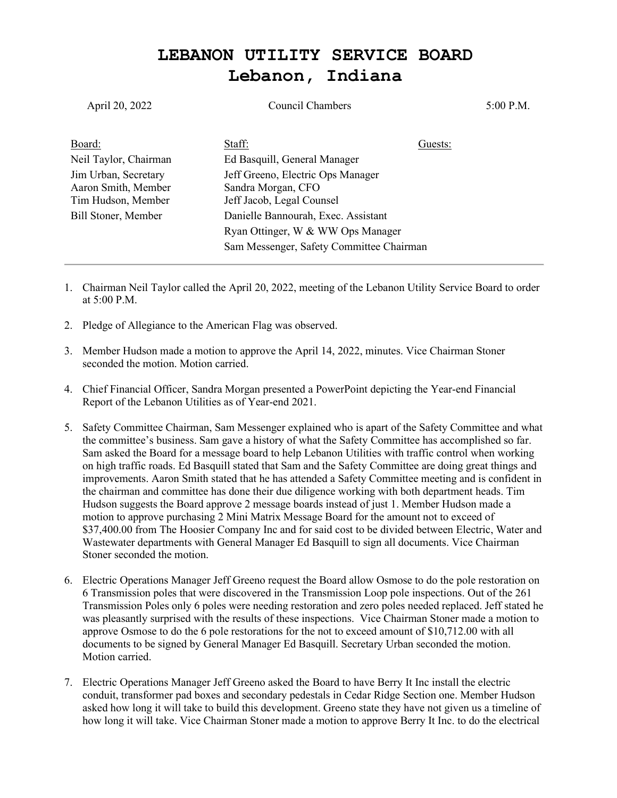## **LEBANON UTILITY SERVICE BOARD Lebanon, Indiana**

| April 20, 2022        | Council Chambers                         |         | 5:00 P.M. |
|-----------------------|------------------------------------------|---------|-----------|
| Board:                | Staff:                                   | Guests: |           |
| Neil Taylor, Chairman | Ed Basquill, General Manager             |         |           |
| Jim Urban, Secretary  | Jeff Greeno, Electric Ops Manager        |         |           |
| Aaron Smith, Member   | Sandra Morgan, CFO                       |         |           |
| Tim Hudson, Member    | Jeff Jacob, Legal Counsel                |         |           |
| Bill Stoner, Member   | Danielle Bannourah, Exec. Assistant      |         |           |
|                       | Ryan Ottinger, W & WW Ops Manager        |         |           |
|                       | Sam Messenger, Safety Committee Chairman |         |           |

- 1. Chairman Neil Taylor called the April 20, 2022, meeting of the Lebanon Utility Service Board to order at 5:00 P.M.
- 2. Pledge of Allegiance to the American Flag was observed.
- 3. Member Hudson made a motion to approve the April 14, 2022, minutes. Vice Chairman Stoner seconded the motion. Motion carried.
- 4. Chief Financial Officer, Sandra Morgan presented a PowerPoint depicting the Year-end Financial Report of the Lebanon Utilities as of Year-end 2021.
- 5. Safety Committee Chairman, Sam Messenger explained who is apart of the Safety Committee and what the committee's business. Sam gave a history of what the Safety Committee has accomplished so far. Sam asked the Board for a message board to help Lebanon Utilities with traffic control when working on high traffic roads. Ed Basquill stated that Sam and the Safety Committee are doing great things and improvements. Aaron Smith stated that he has attended a Safety Committee meeting and is confident in the chairman and committee has done their due diligence working with both department heads. Tim Hudson suggests the Board approve 2 message boards instead of just 1. Member Hudson made a motion to approve purchasing 2 Mini Matrix Message Board for the amount not to exceed of \$37,400.00 from The Hoosier Company Inc and for said cost to be divided between Electric, Water and Wastewater departments with General Manager Ed Basquill to sign all documents. Vice Chairman Stoner seconded the motion.
- 6. Electric Operations Manager Jeff Greeno request the Board allow Osmose to do the pole restoration on 6 Transmission poles that were discovered in the Transmission Loop pole inspections. Out of the 261 Transmission Poles only 6 poles were needing restoration and zero poles needed replaced. Jeff stated he was pleasantly surprised with the results of these inspections. Vice Chairman Stoner made a motion to approve Osmose to do the 6 pole restorations for the not to exceed amount of \$10,712.00 with all documents to be signed by General Manager Ed Basquill. Secretary Urban seconded the motion. Motion carried.
- 7. Electric Operations Manager Jeff Greeno asked the Board to have Berry It Inc install the electric conduit, transformer pad boxes and secondary pedestals in Cedar Ridge Section one. Member Hudson asked how long it will take to build this development. Greeno state they have not given us a timeline of how long it will take. Vice Chairman Stoner made a motion to approve Berry It Inc. to do the electrical